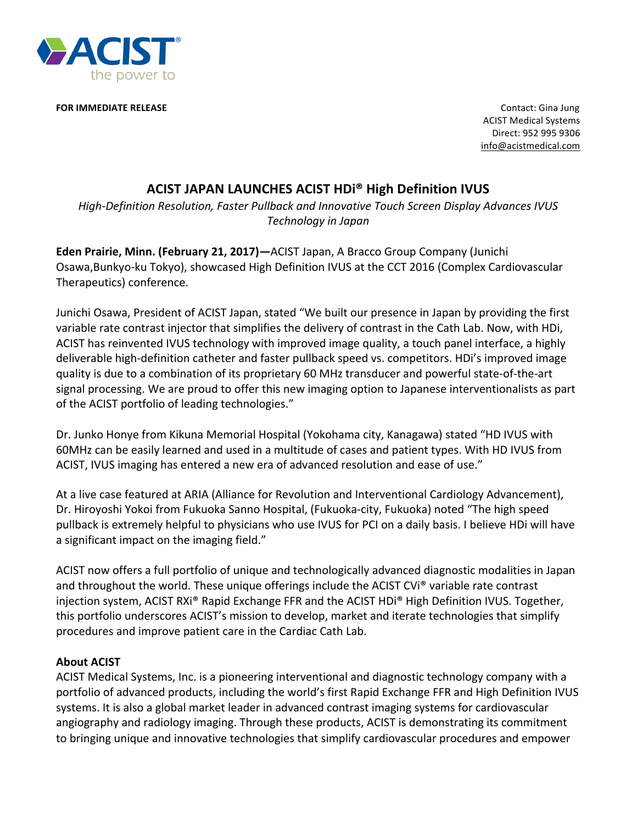

**FOR IMMEDIATE RELEASE** *ALCORY <b>CONTACTE AT ACCOUNT AT ACCOUNT AT ACCOUNT AT ACCOUNT AT ACCOUNT AT ACCOUNT AT ACCOUNT AT ACCOUNT AT ACCOUNT AT ACCOUNT AT ACCOUNT AT ACCOUNT AT ACCOUNT AT ACCOUNT AT ACCOUNT AT ACCOUNT AT* 

**ACIST Medical Systems** Direct: 952 995 9306 info@acistmedical.com

## **ACIST JAPAN LAUNCHES ACIST HDI® High Definition IVUS**

High-Definition Resolution, Faster Pullback and Innovative Touch Screen Display Advances IVUS *Technology in Japan*

**Eden Prairie, Minn. (February 21, 2017)—ACIST Japan, A Bracco Group Company (Junichi** Osawa,Bunkyo-ku Tokyo), showcased High Definition IVUS at the CCT 2016 (Complex Cardiovascular Therapeutics) conference.

Junichi Osawa, President of ACIST Japan, stated "We built our presence in Japan by providing the first variable rate contrast injector that simplifies the delivery of contrast in the Cath Lab. Now, with HDi, ACIST has reinvented IVUS technology with improved image quality, a touch panel interface, a highly deliverable high-definition catheter and faster pullback speed vs. competitors. HDi's improved image quality is due to a combination of its proprietary 60 MHz transducer and powerful state-of-the-art signal processing. We are proud to offer this new imaging option to Japanese interventionalists as part of the ACIST portfolio of leading technologies."

Dr. Junko Honye from Kikuna Memorial Hospital (Yokohama city, Kanagawa) stated "HD IVUS with 60MHz can be easily learned and used in a multitude of cases and patient types. With HD IVUS from ACIST, IVUS imaging has entered a new era of advanced resolution and ease of use."

At a live case featured at ARIA (Alliance for Revolution and Interventional Cardiology Advancement), Dr. Hiroyoshi Yokoi from Fukuoka Sanno Hospital, (Fukuoka-city, Fukuoka) noted "The high speed pullback is extremely helpful to physicians who use IVUS for PCI on a daily basis. I believe HDi will have a significant impact on the imaging field."

ACIST now offers a full portfolio of unique and technologically advanced diagnostic modalities in Japan and throughout the world. These unique offerings include the ACIST CVi® variable rate contrast injection system, ACIST RXi® Rapid Exchange FFR and the ACIST HDi® High Definition IVUS. Together, this portfolio underscores ACIST's mission to develop, market and iterate technologies that simplify procedures and improve patient care in the Cardiac Cath Lab.

## **About ACIST**

ACIST Medical Systems, Inc. is a pioneering interventional and diagnostic technology company with a portfolio of advanced products, including the world's first Rapid Exchange FFR and High Definition IVUS systems. It is also a global market leader in advanced contrast imaging systems for cardiovascular angiography and radiology imaging. Through these products, ACIST is demonstrating its commitment to bringing unique and innovative technologies that simplify cardiovascular procedures and empower